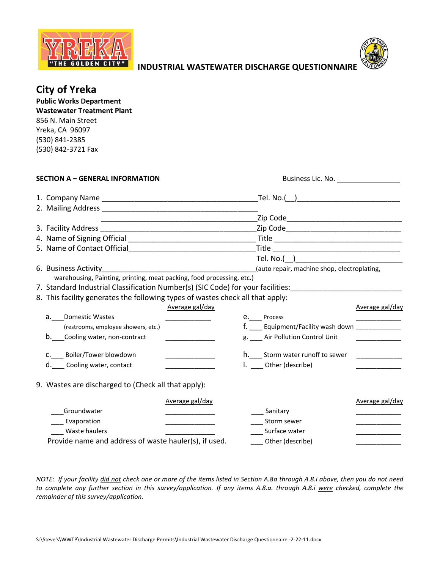



**INDUSTRIAL WASTEWATER DISCHARGE QUESTIONNAIRE**

|  | <b>City of Yreka</b><br><b>Public Works Department</b><br><b>Wastewater Treatment Plant</b><br>856 N. Main Street<br>Yreka, CA 96097<br>(530) 841-2385<br>(530) 842-3721 Fax                                                  |                                      |                                                    |                 |
|--|-------------------------------------------------------------------------------------------------------------------------------------------------------------------------------------------------------------------------------|--------------------------------------|----------------------------------------------------|-----------------|
|  | <b>SECTION A - GENERAL INFORMATION</b>                                                                                                                                                                                        |                                      |                                                    |                 |
|  |                                                                                                                                                                                                                               |                                      |                                                    |                 |
|  |                                                                                                                                                                                                                               |                                      |                                                    |                 |
|  | 2. Mailing Address and the control of the control of the control of the control of the control of the control of the control of the control of the control of the control of the control of the control of the control of the |                                      |                                                    |                 |
|  |                                                                                                                                                                                                                               |                                      |                                                    |                 |
|  | 3. Facility Address                                                                                                                                                                                                           |                                      |                                                    |                 |
|  |                                                                                                                                                                                                                               |                                      |                                                    |                 |
|  |                                                                                                                                                                                                                               |                                      |                                                    |                 |
|  |                                                                                                                                                                                                                               |                                      | Tel. No.()                                         |                 |
|  |                                                                                                                                                                                                                               |                                      | (auto repair, machine shop, electroplating,        |                 |
|  | warehousing, Painting, printing, meat packing, food processing, etc.)                                                                                                                                                         |                                      |                                                    |                 |
|  | 7. Standard Industrial Classification Number(s) (SIC Code) for your facilities:                                                                                                                                               |                                      |                                                    |                 |
|  | 8. This facility generates the following types of wastes check all that apply:                                                                                                                                                |                                      |                                                    |                 |
|  |                                                                                                                                                                                                                               | Average gal/day                      |                                                    | Average gal/day |
|  | <b>Domestic Wastes</b><br>а. –                                                                                                                                                                                                |                                      | e. Process                                         |                 |
|  | (restrooms, employee showers, etc.)                                                                                                                                                                                           |                                      | f. ____ Equipment/Facility wash down _____________ |                 |
|  | b. Cooling water, non-contract                                                                                                                                                                                                |                                      | g. ___ Air Pollution Control Unit                  |                 |
|  | C.____ Boiler/Tower blowdown                                                                                                                                                                                                  |                                      | h.___ Storm water runoff to sewer                  |                 |
|  | d. Cooling water, contact                                                                                                                                                                                                     |                                      | i. __ Other (describe)                             |                 |
|  | 9. Wastes are discharged to (Check all that apply):                                                                                                                                                                           |                                      |                                                    |                 |
|  |                                                                                                                                                                                                                               | Average gal/day                      |                                                    | Average gal/day |
|  | Groundwater                                                                                                                                                                                                                   |                                      | Sanitary                                           |                 |
|  | Evaporation                                                                                                                                                                                                                   | <u> 1999 - Johann Barbara, martx</u> | Storm sewer                                        |                 |
|  | Waste haulers                                                                                                                                                                                                                 |                                      | Surface water                                      |                 |
|  | Provide name and address of waste hauler(s), if used.                                                                                                                                                                         |                                      | Other (describe)                                   |                 |

*NOTE: If your facility did not check one or more of the items listed in Section A.8a through A.8.i above, then you do not need to complete any further section in this survey/application. If any items A.8.a. through A.8.i were checked, complete the remainder of this survey/application.*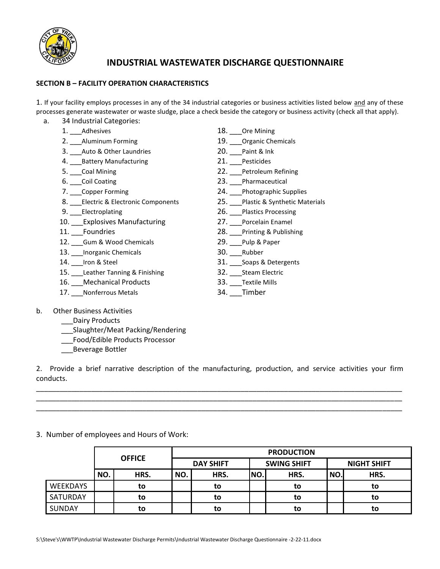

## **INDUSTRIAL WASTEWATER DISCHARGE QUESTIONNAIRE**

## **SECTION B – FACILITY OPERATION CHARACTERISTICS**

1. If your facility employs processes in any of the 34 industrial categories or business activities listed below and any of these processes generate wastewater or waste sludge, place a check beside the category or business activity (check all that apply).

- a. 34 Industrial Categories:
	-
	-
	- 3. \_\_\_\_Auto & Other Laundries 20. \_\_\_Paint & Ink
	- 4. Battery Manufacturing 21. Pesticides
	-
	-
	-
	- 8. Electric & Electronic Components 25. Plastic & Synthetic Materials
	-
	- 10. Explosives Manufacturing 27. Porcelain Enamel
	-
	- 12. Gum & Wood Chemicals 29. Pulp & Paper
	- 13. Inorganic Chemicals 30. Rubber
	-
	- 15. Leather Tanning & Finishing 32. Steam Electric
	- 16. Mechanical Products 33. Textile Mills
	- 17. Nonferrous Metals 34. Timber
- 1. Adhesives 20. 2012 18. Ore Mining
- 2. Aluminum Forming 19. Deganic Chemicals
	-
	-
- 5. Coal Mining **22.** Petroleum Refining
- 6. Coil Coating **23.** Pharmaceutical
- 7. Copper Forming 24. Photographic Supplies
	-
- 9. Electroplating 26. Plastics Processing
	-
- 11. Foundries 28. Printing & Publishing
	-
	-
- 14. <u>\_\_</u>Iron & Steel 31. \_\_\_Soaps & Detergents
	-
	-
	-

- b. Other Business Activities
	- Dairy Products
		- \_\_\_Slaughter/Meat Packing/Rendering
		- \_\_\_Food/Edible Products Processor
		- \_\_\_Beverage Bottler

2. Provide a brief narrative description of the manufacturing, production, and service activities your firm conducts.

\_\_\_\_\_\_\_\_\_\_\_\_\_\_\_\_\_\_\_\_\_\_\_\_\_\_\_\_\_\_\_\_\_\_\_\_\_\_\_\_\_\_\_\_\_\_\_\_\_\_\_\_\_\_\_\_\_\_\_\_\_\_\_\_\_\_\_\_\_\_\_\_\_\_\_\_\_\_\_\_\_\_\_\_\_\_\_\_\_\_\_\_\_ \_\_\_\_\_\_\_\_\_\_\_\_\_\_\_\_\_\_\_\_\_\_\_\_\_\_\_\_\_\_\_\_\_\_\_\_\_\_\_\_\_\_\_\_\_\_\_\_\_\_\_\_\_\_\_\_\_\_\_\_\_\_\_\_\_\_\_\_\_\_\_\_\_\_\_\_\_\_\_\_\_\_\_\_\_\_\_\_\_\_\_\_\_ \_\_\_\_\_\_\_\_\_\_\_\_\_\_\_\_\_\_\_\_\_\_\_\_\_\_\_\_\_\_\_\_\_\_\_\_\_\_\_\_\_\_\_\_\_\_\_\_\_\_\_\_\_\_\_\_\_\_\_\_\_\_\_\_\_\_\_\_\_\_\_\_\_\_\_\_\_\_\_\_\_\_\_\_\_\_\_\_\_\_\_\_\_

3. Number of employees and Hours of Work:

|                 | <b>OFFICE</b> |      | <b>PRODUCTION</b> |      |                    |      |                    |      |
|-----------------|---------------|------|-------------------|------|--------------------|------|--------------------|------|
|                 |               |      | <b>DAY SHIFT</b>  |      | <b>SWING SHIFT</b> |      | <b>NIGHT SHIFT</b> |      |
|                 | NO.           | HRS. | NO.               | HRS. | INO.               | HRS. | NO.                | HRS. |
| WEEKDAYS        |               | to   |                   | to   |                    | to   |                    | to   |
| <b>SATURDAY</b> |               | to   |                   | to   |                    | to   |                    | to   |
| <b>SUNDAY</b>   |               | to   |                   | to   |                    | to   |                    | to   |